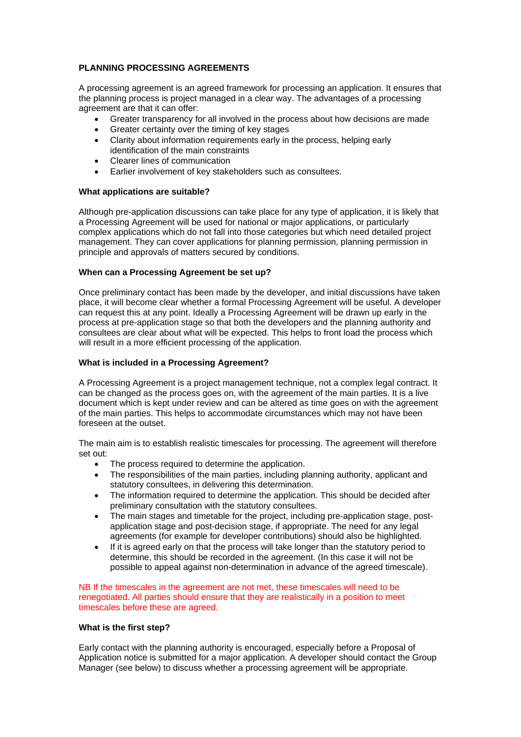# **PLANNING PROCESSING AGREEMENTS**

A processing agreement is an agreed framework for processing an application. It ensures that the planning process is project managed in a clear way. The advantages of a processing agreement are that it can offer:

- Greater transparency for all involved in the process about how decisions are made
- Greater certainty over the timing of key stages
- Clarity about information requirements early in the process, helping early identification of the main constraints
- Clearer lines of communication
- Earlier involvement of key stakeholders such as consultees.

### **What applications are suitable?**

Although pre-application discussions can take place for any type of application, it is likely that a Processing Agreement will be used for national or major applications, or particularly complex applications which do not fall into those categories but which need detailed project management. They can cover applications for planning permission, planning permission in principle and approvals of matters secured by conditions.

## **When can a Processing Agreement be set up?**

Once preliminary contact has been made by the developer, and initial discussions have taken place, it will become clear whether a formal Processing Agreement will be useful. A developer can request this at any point. Ideally a Processing Agreement will be drawn up early in the process at pre-application stage so that both the developers and the planning authority and consultees are clear about what will be expected. This helps to front load the process which will result in a more efficient processing of the application.

### **What is included in a Processing Agreement?**

A Processing Agreement is a project management technique, not a complex legal contract. It can be changed as the process goes on, with the agreement of the main parties. It is a live document which is kept under review and can be altered as time goes on with the agreement of the main parties. This helps to accommodate circumstances which may not have been foreseen at the outset.

The main aim is to establish realistic timescales for processing. The agreement will therefore set out:

- The process required to determine the application.
- The responsibilities of the main parties, including planning authority, applicant and statutory consultees, in delivering this determination.
- The information required to determine the application. This should be decided after preliminary consultation with the statutory consultees.
- The main stages and timetable for the project, including pre-application stage, postapplication stage and post-decision stage, if appropriate. The need for any legal agreements (for example for developer contributions) should also be highlighted.
- If it is agreed early on that the process will take longer than the statutory period to determine, this should be recorded in the agreement. (In this case it will not be possible to appeal against non-determination in advance of the agreed timescale).

NB If the timescales in the agreement are not met, these timescales will need to be renegotiated. All parties should ensure that they are realistically in a position to meet timescales before these are agreed.

### **What is the first step?**

Early contact with the planning authority is encouraged, especially before a Proposal of Application notice is submitted for a major application. A developer should contact the Group Manager (see below) to discuss whether a processing agreement will be appropriate.